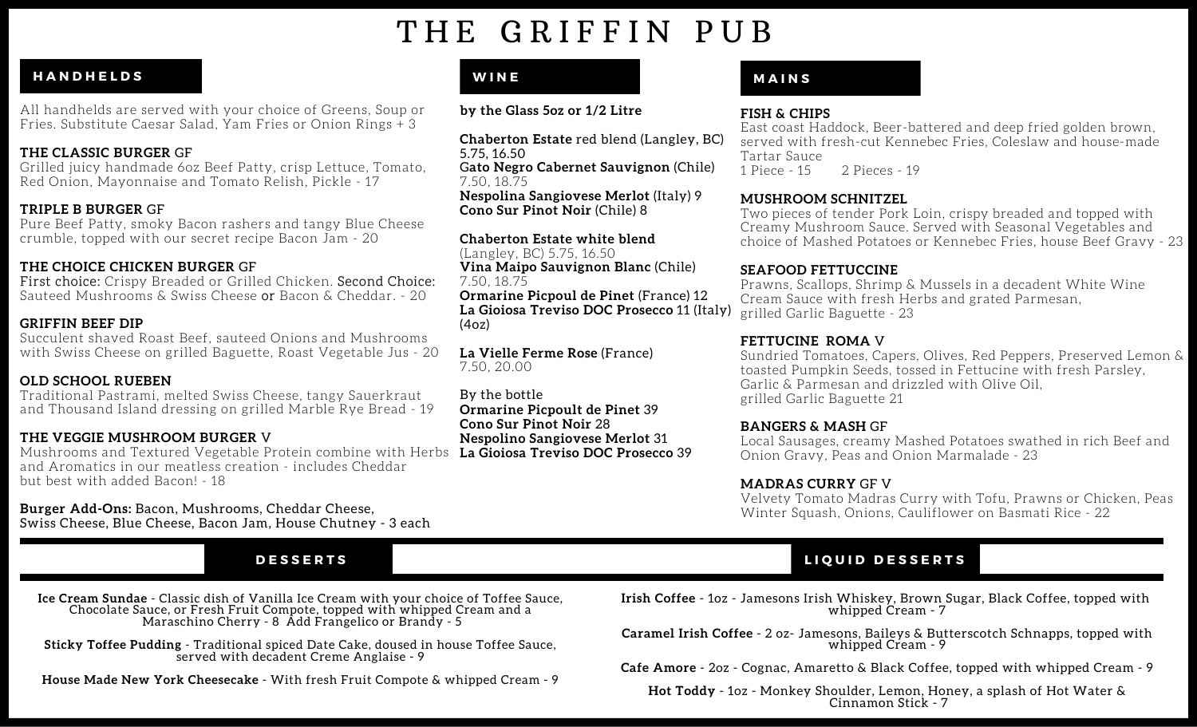# THE GRIFFIN PUB

### **H A N D H E L D S**

All handhelds are served with your choice of Greens, Soup or Fries. Substitute Caesar Salad, Yam Fries or Onion Rings + 3

#### **THE CLASSIC BURGER** GF

Grilled juicy handmade 6oz Beef Patty, crisp Lettuce, Tomato, Red Onion, Mayonnaise and Tomato Relish, Pickle - 17

#### **TRIPLE B BURGER** GF

Pure Beef Patty, smoky Bacon rashers and tangy Blue Cheese crumble, topped with our secret recipe Bacon Jam - 20

### **THE CHOICE CHICKEN BURGER** GF

First choice: Crispy Breaded or Grilled Chicken. Second Choice: Sauteed Mushrooms & Swiss Cheese or Bacon & Cheddar. - 20

#### **GRIFFIN BEEF DIP**

Succulent shaved Roast Beef, sauteed Onions and Mushrooms with Swiss Cheese on grilled Baguette, Roast Vegetable Jus - 20

#### **OLD SCHOOL RUEBEN**

Traditional Pastrami, melted Swiss Cheese, tangy Sauerkraut and Thousand Island dressing on grilled Marble Rye Bread - 19

#### **THE VEGGIE MUSHROOM BURGER** V

Mushrooms and Textured Vegetable Protein combine with Herbs **La Gioiosa Treviso DOC Prosecco** 39 and Aromatics in our meatless creation - includes Cheddar but best with added Bacon! - 18

#### **Burger Add-Ons:** Bacon, Mushrooms, Cheddar Cheese, Swiss Cheese, Blue Cheese, Bacon Jam, House Chutney - 3 each

**Ice Cream Sundae** - Classic dish of Vanilla Ice Cream with your choice of Toffee Sauce, Chocolate Sauce, or Fresh Fruit Compote, topped with whipped Cream and a Maraschino Cherry - 8 Add Frangelico or Brandy - 5

**Sticky Toffee Pudding** - Traditional spiced Date Cake, doused in house Toffee Sauce, served with decadent Creme Anglaise - 9

**House Made New York Cheesecake** - With fresh Fruit Compote & whipped Cream - 9

#### **W I N E**

**by the Glass 5oz or 1/2 Litre**

**Chaberton Estate** red blend (Langley, BC) 5.75, 16.50 G**ato Negro Cabernet Sauvignon** (Chile) 7.50, 18.75 **Nespolina Sangiovese Merlot** (Italy) 9 **Cono Sur Pinot Noir** (Chile) 8

**Chaberton Estate white blend** (Langley, BC) 5.75, 16.50 **Vina Maipo Sauvignon Blanc** (Chile) 7.50, 18.75 **Ormarine Picpoul de Pinet** (France) 12 **La Gioiosa Treviso DOC Prosecco** 11 (Italy)  $(4oz)$ 

**La Vielle Ferme Rose** (France) 7.50, 20.00

By the bottle **Ormarine Picpoult de Pinet** 39 **Cono Sur Pinot Noir** 28 **Nespolino Sangiovese Merlot** 31

#### **M A I N S**

#### **FISH & CHIPS**

East coast Haddock, Beer-battered and deep fried golden brown, served with fresh-cut Kennebec Fries, Coleslaw and house-made Tartar Sauce<br>1 Piece - 15 2 Pieces - 19

#### **MUSHROOM SCHNITZEL**

Two pieces of tender Pork Loin, crispy breaded and topped with Creamy Mushroom Sauce. Served with Seasonal Vegetables and choice of Mashed Potatoes or Kennebec Fries, house Beef Gravy - 23

#### **SEAFOOD FETTUCCINE**

Prawns, Scallops, Shrimp & Mussels in a decadent White Wine Cream Sauce with fresh Herbs and grated Parmesan, grilled Garlic Baguette - 23

#### **FETTUCINE ROMA** V

Sundried Tomatoes, Capers, Olives, Red Peppers, Preserved Lemon & toasted Pumpkin Seeds, tossed in Fettucine with fresh Parsley, Garlic & Parmesan and drizzled with Olive Oil, grilled Garlic Baguette 21

#### **BANGERS & MASH** GF

Local Sausages, creamy Mashed Potatoes swathed in rich Beef and Onion Gravy, Peas and Onion Marmalade - 23

#### **MADRAS CURRY** GF V

Velvety Tomato Madras Curry with Tofu, Prawns or Chicken, Peas Winter Squash, Onions, Cauliflower on Basmati Rice - 22

# **DESSERTS**

**Irish Coffee** - 1oz - Jamesons Irish Whiskey, Brown Sugar, Black Coffee, topped with whipped Cream - 7

**Caramel Irish Coffee** - 2 oz- Jamesons, Baileys & Butterscotch Schnapps, topped with whipped Cream - 9

**Cafe Amore** - 2oz - Cognac, Amaretto & Black Coffee, topped with whipped Cream - 9

**Hot Toddy** - 1oz - Monkey Shoulder, Lemon, Honey, a splash of Hot Water & Cinnamon Stick - 7